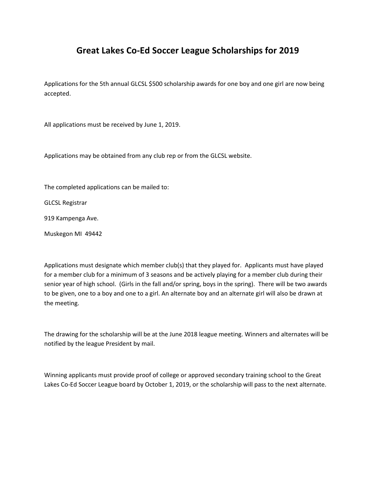## **Great Lakes Co-Ed Soccer League Scholarships for 2019**

Applications for the 5th annual GLCSL \$500 scholarship awards for one boy and one girl are now being accepted.

All applications must be received by June 1, 2019.

Applications may be obtained from any club rep or from the GLCSL website.

The completed applications can be mailed to:

GLCSL Registrar

919 Kampenga Ave.

Muskegon MI 49442

Applications must designate which member club(s) that they played for. Applicants must have played for a member club for a minimum of 3 seasons and be actively playing for a member club during their senior year of high school. (Girls in the fall and/or spring, boys in the spring). There will be two awards to be given, one to a boy and one to a girl. An alternate boy and an alternate girl will also be drawn at the meeting.

The drawing for the scholarship will be at the June 2018 league meeting. Winners and alternates will be notified by the league President by mail.

Winning applicants must provide proof of college or approved secondary training school to the Great Lakes Co-Ed Soccer League board by October 1, 2019, or the scholarship will pass to the next alternate.